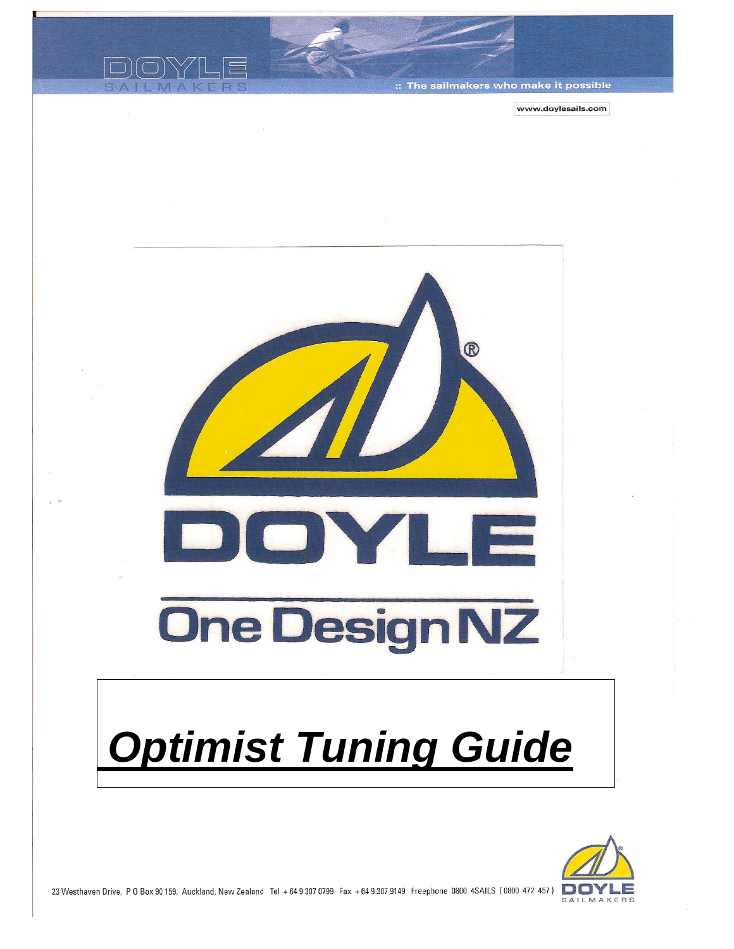

#### :: The sailmakers who make it possible

www.doylesails.com



# *Optimist Tuning Guide*



23 Westhaven Drive, P 0 Box 90 159, Auckland, New Zealand Tel + 64 9 307 0799 Fax + 64 9 307 9149 Freephone 0800 4SAILS (0800 472 457)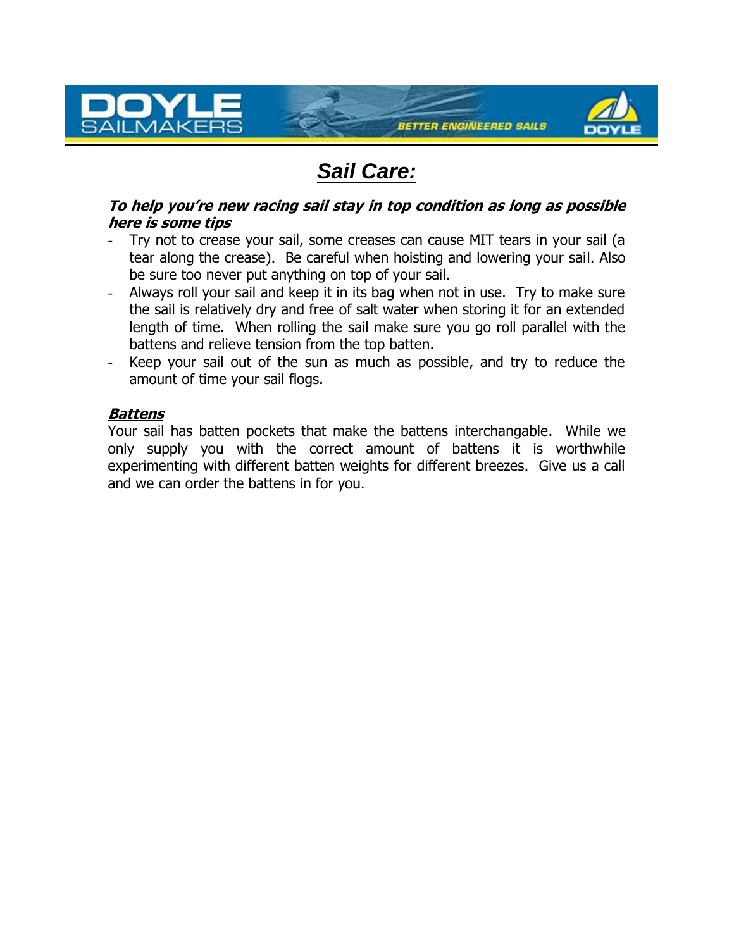

### *Sail Care:*

#### **To help you're new racing sail stay in top condition as long as possible here is some tips**

- Try not to crease your sail, some creases can cause MIT tears in your sail (a tear along the crease). Be careful when hoisting and lowering your sail. Also be sure too never put anything on top of your sail.
- Always roll your sail and keep it in its bag when not in use. Try to make sure the sail is relatively dry and free of salt water when storing it for an extended length of time. When rolling the sail make sure you go roll parallel with the battens and relieve tension from the top batten.
- Keep your sail out of the sun as much as possible, and try to reduce the amount of time your sail flogs.

#### **Battens**

Your sail has batten pockets that make the battens interchangable. While we only supply you with the correct amount of battens it is worthwhile experimenting with different batten weights for different breezes. Give us a call and we can order the battens in for you.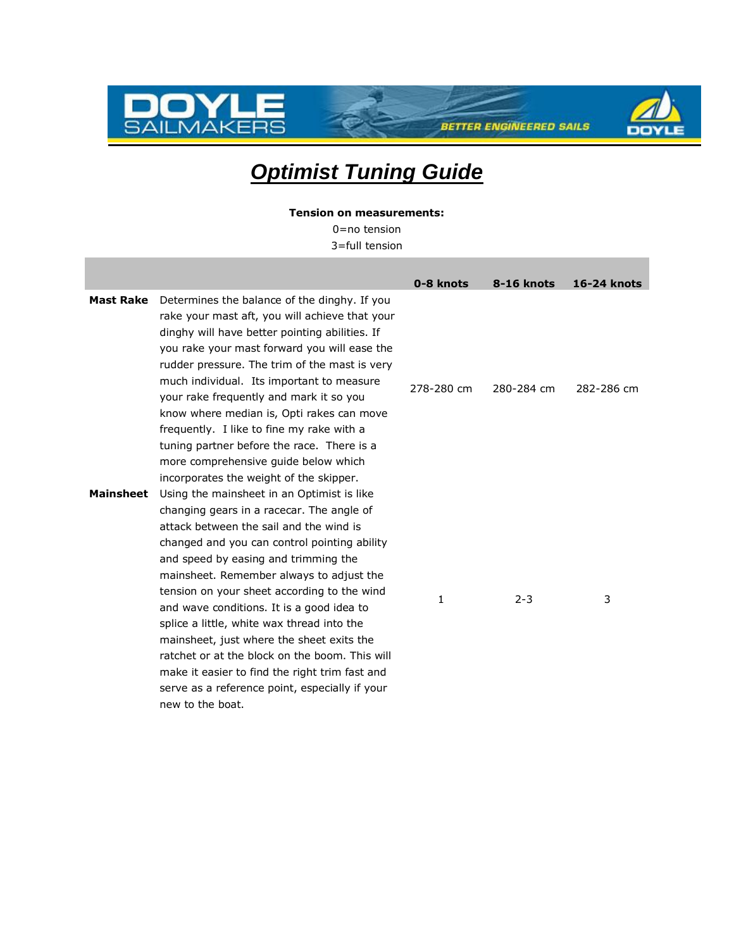

**BETTER ENGINEERED SAILS** 



## *Optimist Tuning Guide*

**Tension on measurements:**

0=no tension

3=full tension

|           |                                                                                                                                                                                                                                                                                                                                                                                                                                                                                                                                                                                                                                         | 0-8 knots    | 8-16 knots | 16-24 knots |
|-----------|-----------------------------------------------------------------------------------------------------------------------------------------------------------------------------------------------------------------------------------------------------------------------------------------------------------------------------------------------------------------------------------------------------------------------------------------------------------------------------------------------------------------------------------------------------------------------------------------------------------------------------------------|--------------|------------|-------------|
| Mast Rake | Determines the balance of the dinghy. If you<br>rake your mast aft, you will achieve that your<br>dinghy will have better pointing abilities. If<br>you rake your mast forward you will ease the<br>rudder pressure. The trim of the mast is very<br>much individual. Its important to measure<br>your rake frequently and mark it so you<br>know where median is, Opti rakes can move<br>frequently. I like to fine my rake with a<br>tuning partner before the race. There is a<br>more comprehensive guide below which<br>incorporates the weight of the skipper.                                                                    | 278-280 cm   | 280-284 cm | 282-286 cm  |
| Mainsheet | Using the mainsheet in an Optimist is like<br>changing gears in a racecar. The angle of<br>attack between the sail and the wind is<br>changed and you can control pointing ability<br>and speed by easing and trimming the<br>mainsheet. Remember always to adjust the<br>tension on your sheet according to the wind<br>and wave conditions. It is a good idea to<br>splice a little, white wax thread into the<br>mainsheet, just where the sheet exits the<br>ratchet or at the block on the boom. This will<br>make it easier to find the right trim fast and<br>serve as a reference point, especially if your<br>new to the boat. | $\mathbf{1}$ | $2 - 3$    | 3           |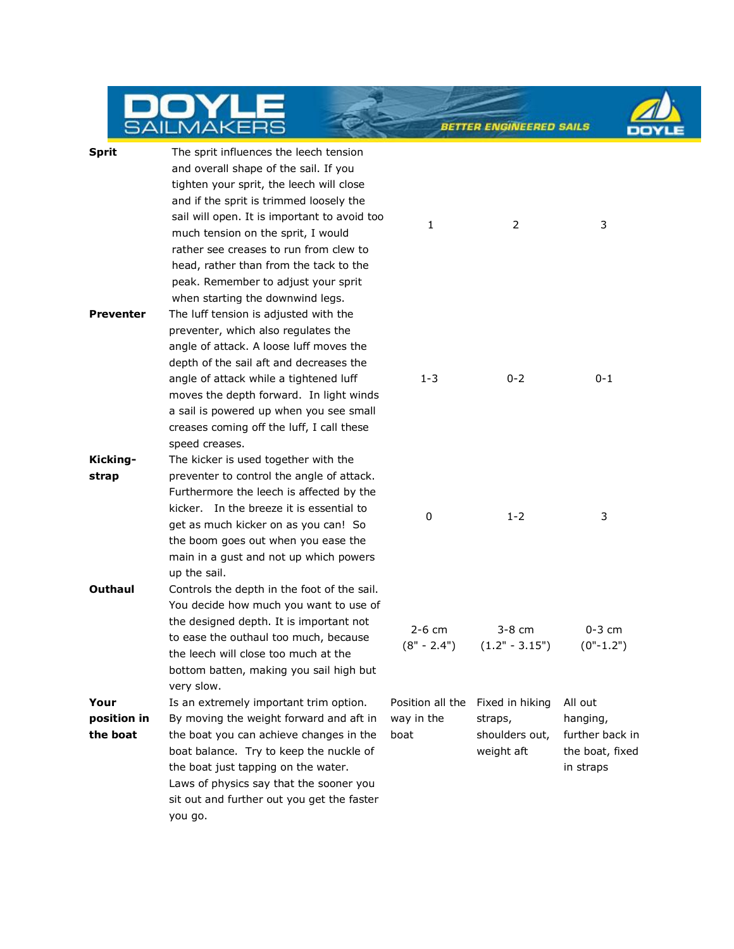# BAILMAKERS **COMPANY**

**BETTER ENGINEERED SAILS** 



|                                 |                                                                                                                                                                                                                                                                                                                                                                                                                             |                                        |                                                            | --                                                                     |
|---------------------------------|-----------------------------------------------------------------------------------------------------------------------------------------------------------------------------------------------------------------------------------------------------------------------------------------------------------------------------------------------------------------------------------------------------------------------------|----------------------------------------|------------------------------------------------------------|------------------------------------------------------------------------|
| <b>Sprit</b>                    | The sprit influences the leech tension<br>and overall shape of the sail. If you<br>tighten your sprit, the leech will close<br>and if the sprit is trimmed loosely the<br>sail will open. It is important to avoid too<br>much tension on the sprit, I would<br>rather see creases to run from clew to<br>head, rather than from the tack to the<br>peak. Remember to adjust your sprit<br>when starting the downwind legs. | 1                                      | $\overline{2}$                                             | 3                                                                      |
| Preventer                       | The luff tension is adjusted with the<br>preventer, which also regulates the<br>angle of attack. A loose luff moves the<br>depth of the sail aft and decreases the<br>angle of attack while a tightened luff<br>moves the depth forward. In light winds<br>a sail is powered up when you see small<br>creases coming off the luff, I call these<br>speed creases.                                                           | $1 - 3$                                | $0 - 2$                                                    | $0 - 1$                                                                |
| Kicking-<br>strap               | The kicker is used together with the<br>preventer to control the angle of attack.<br>Furthermore the leech is affected by the<br>kicker. In the breeze it is essential to<br>get as much kicker on as you can! So<br>the boom goes out when you ease the<br>main in a gust and not up which powers<br>up the sail.                                                                                                          | 0                                      | $1 - 2$                                                    | 3                                                                      |
| <b>Outhaul</b>                  | Controls the depth in the foot of the sail.<br>You decide how much you want to use of<br>the designed depth. It is important not<br>to ease the outhaul too much, because<br>the leech will close too much at the<br>bottom batten, making you sail high but<br>very slow.                                                                                                                                                  | $2-6$ cm<br>$(8" - 2.4")$              | $3-8$ cm<br>$(1.2" - 3.15")$                               | $0-3$ cm<br>$(0" - 1.2")$                                              |
| Your<br>position in<br>the boat | Is an extremely important trim option.<br>By moving the weight forward and aft in<br>the boat you can achieve changes in the<br>boat balance. Try to keep the nuckle of<br>the boat just tapping on the water.<br>Laws of physics say that the sooner you<br>sit out and further out you get the faster<br>you go.                                                                                                          | Position all the<br>way in the<br>boat | Fixed in hiking<br>straps,<br>shoulders out,<br>weight aft | All out<br>hanging,<br>further back in<br>the boat, fixed<br>in straps |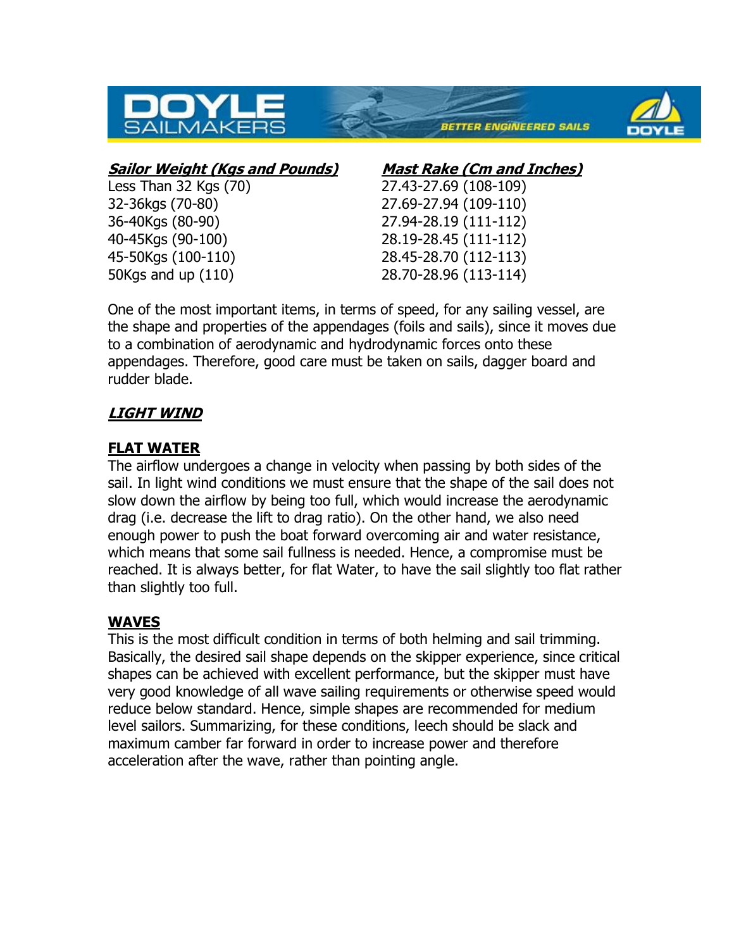

#### **Sailor Weight (Kgs and Pounds) Mast Rake (Cm and Inches)**

Less Than 32 Kgs (70) 27.43-27.69 (108-109) 32-36kgs (70-80) 27.69-27.94 (109-110) 36-40Kgs (80-90) 27.94-28.19 (111-112) 40-45Kgs (90-100) 28.19-28.45 (111-112) 45-50Kgs (100-110) 28.45-28.70 (112-113) 50Kgs and up (110) 28.70-28.96 (113-114)

One of the most important items, in terms of speed, for any sailing vessel, are the shape and properties of the appendages (foils and sails), since it moves due to a combination of aerodynamic and hydrodynamic forces onto these appendages. Therefore, good care must be taken on sails, dagger board and rudder blade.

### **LIGHT WIND**

#### **FLAT WATER**

The airflow undergoes a change in velocity when passing by both sides of the sail. In light wind conditions we must ensure that the shape of the sail does not slow down the airflow by being too full, which would increase the aerodynamic drag (i.e. decrease the lift to drag ratio). On the other hand, we also need enough power to push the boat forward overcoming air and water resistance, which means that some sail fullness is needed. Hence, a compromise must be reached. It is always better, for flat Water, to have the sail slightly too flat rather than slightly too full.

#### **WAVES**

This is the most difficult condition in terms of both helming and sail trimming. Basically, the desired sail shape depends on the skipper experience, since critical shapes can be achieved with excellent performance, but the skipper must have very good knowledge of all wave sailing requirements or otherwise speed would reduce below standard. Hence, simple shapes are recommended for medium level sailors. Summarizing, for these conditions, leech should be slack and maximum camber far forward in order to increase power and therefore acceleration after the wave, rather than pointing angle.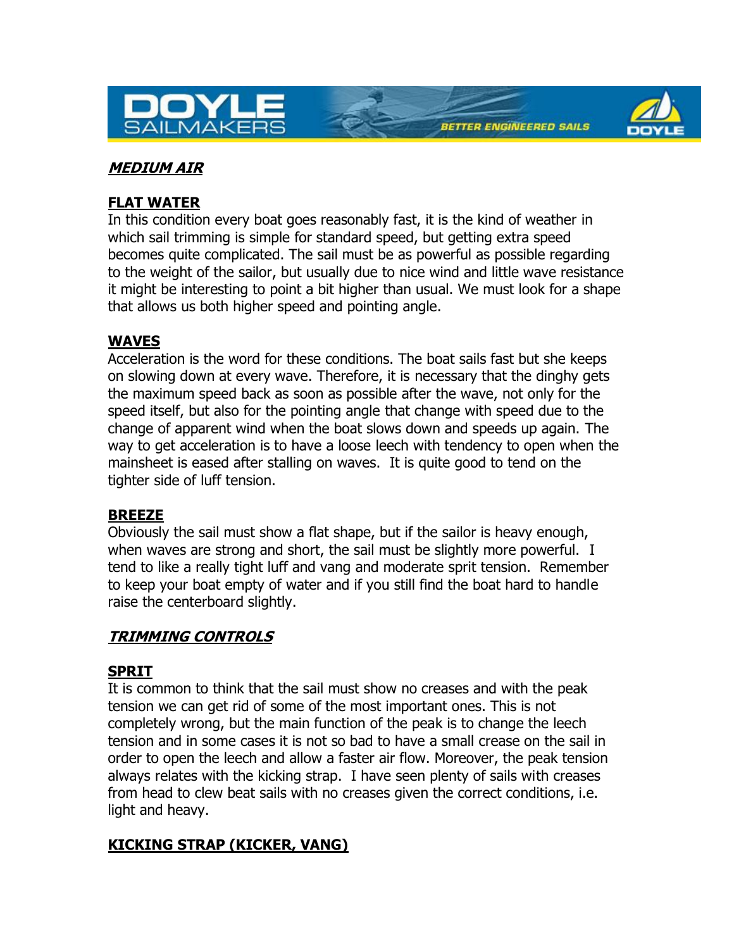

#### **MEDIUM AIR**

#### **FLAT WATER**

In this condition every boat goes reasonably fast, it is the kind of weather in which sail trimming is simple for standard speed, but getting extra speed becomes quite complicated. The sail must be as powerful as possible regarding to the weight of the sailor, but usually due to nice wind and little wave resistance it might be interesting to point a bit higher than usual. We must look for a shape that allows us both higher speed and pointing angle.

#### **WAVES**

Acceleration is the word for these conditions. The boat sails fast but she keeps on slowing down at every wave. Therefore, it is necessary that the dinghy gets the maximum speed back as soon as possible after the wave, not only for the speed itself, but also for the pointing angle that change with speed due to the change of apparent wind when the boat slows down and speeds up again. The way to get acceleration is to have a loose leech with tendency to open when the mainsheet is eased after stalling on waves. It is quite good to tend on the tighter side of luff tension.

#### **BREEZE**

Obviously the sail must show a flat shape, but if the sailor is heavy enough, when waves are strong and short, the sail must be slightly more powerful. I tend to like a really tight luff and vang and moderate sprit tension. Remember to keep your boat empty of water and if you still find the boat hard to handle raise the centerboard slightly.

#### **TRIMMING CONTROLS**

#### **SPRIT**

It is common to think that the sail must show no creases and with the peak tension we can get rid of some of the most important ones. This is not completely wrong, but the main function of the peak is to change the leech tension and in some cases it is not so bad to have a small crease on the sail in order to open the leech and allow a faster air flow. Moreover, the peak tension always relates with the kicking strap. I have seen plenty of sails with creases from head to clew beat sails with no creases given the correct conditions, i.e. light and heavy.

#### **KICKING STRAP (KICKER, VANG)**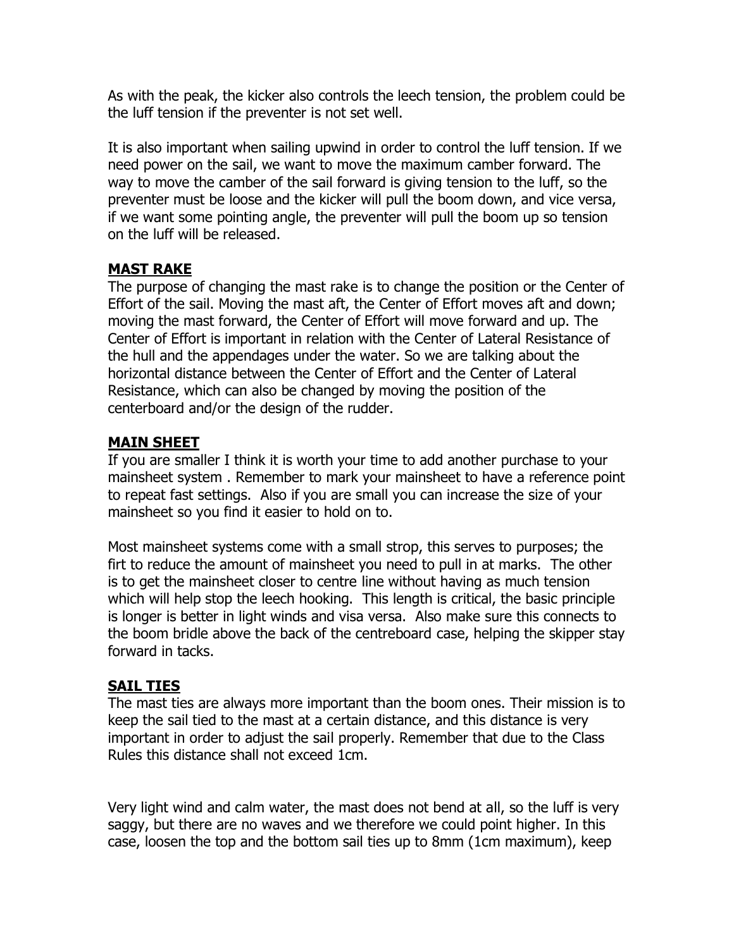As with the peak, the kicker also controls the leech tension, the problem could be the luff tension if the preventer is not set well.

It is also important when sailing upwind in order to control the luff tension. If we need power on the sail, we want to move the maximum camber forward. The way to move the camber of the sail forward is giving tension to the luff, so the preventer must be loose and the kicker will pull the boom down, and vice versa, if we want some pointing angle, the preventer will pull the boom up so tension on the luff will be released.

### **MAST RAKE**

The purpose of changing the mast rake is to change the position or the Center of Effort of the sail. Moving the mast aft, the Center of Effort moves aft and down; moving the mast forward, the Center of Effort will move forward and up. The Center of Effort is important in relation with the Center of Lateral Resistance of the hull and the appendages under the water. So we are talking about the horizontal distance between the Center of Effort and the Center of Lateral Resistance, which can also be changed by moving the position of the centerboard and/or the design of the rudder.

#### **MAIN SHEET**

If you are smaller I think it is worth your time to add another purchase to your mainsheet system . Remember to mark your mainsheet to have a reference point to repeat fast settings. Also if you are small you can increase the size of your mainsheet so you find it easier to hold on to.

Most mainsheet systems come with a small strop, this serves to purposes; the firt to reduce the amount of mainsheet you need to pull in at marks. The other is to get the mainsheet closer to centre line without having as much tension which will help stop the leech hooking. This length is critical, the basic principle is longer is better in light winds and visa versa. Also make sure this connects to the boom bridle above the back of the centreboard case, helping the skipper stay forward in tacks.

#### **SAIL TIES**

The mast ties are always more important than the boom ones. Their mission is to keep the sail tied to the mast at a certain distance, and this distance is very important in order to adjust the sail properly. Remember that due to the Class Rules this distance shall not exceed 1cm.

Very light wind and calm water, the mast does not bend at all, so the luff is very saggy, but there are no waves and we therefore we could point higher. In this case, loosen the top and the bottom sail ties up to 8mm (1cm maximum), keep